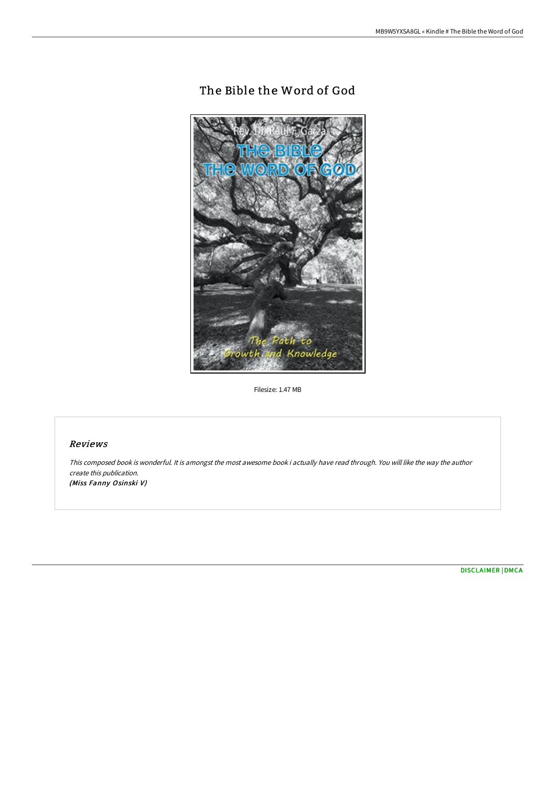# The Bible the Word of God



Filesize: 1.47 MB

## Reviews

This composed book is wonderful. It is amongst the most awesome book i actually have read through. You will like the way the author create this publication. (Miss Fanny Osinski V)

[DISCLAIMER](http://bookera.tech/disclaimer.html) | [DMCA](http://bookera.tech/dmca.html)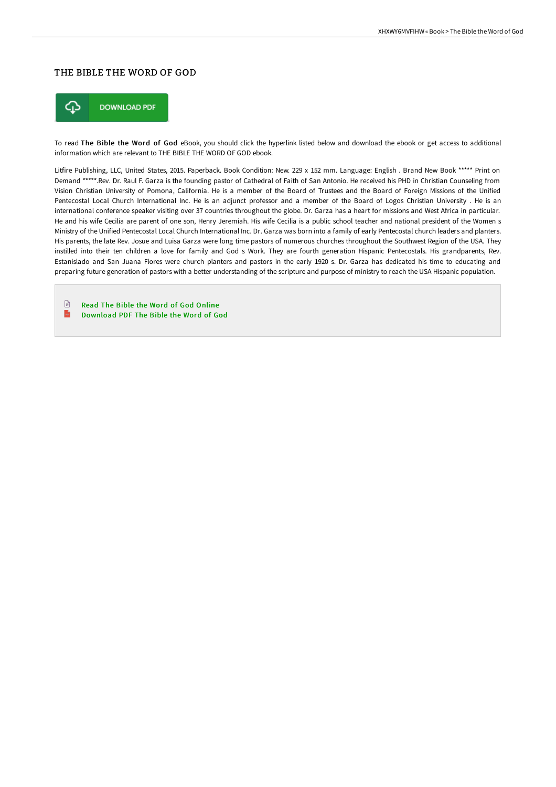## THE BIBLE THE WORD OF GOD



To read The Bible the Word of God eBook, you should click the hyperlink listed below and download the ebook or get access to additional information which are relevant to THE BIBLE THE WORD OF GOD ebook.

Litfire Publishing, LLC, United States, 2015. Paperback. Book Condition: New. 229 x 152 mm. Language: English . Brand New Book \*\*\*\*\* Print on Demand \*\*\*\*\*.Rev. Dr. Raul F. Garza is the founding pastor of Cathedral of Faith of San Antonio. He received his PHD in Christian Counseling from Vision Christian University of Pomona, California. He is a member of the Board of Trustees and the Board of Foreign Missions of the Unified Pentecostal Local Church International Inc. He is an adjunct professor and a member of the Board of Logos Christian University . He is an international conference speaker visiting over 37 countries throughout the globe. Dr. Garza has a heart for missions and West Africa in particular. He and his wife Cecilia are parent of one son, Henry Jeremiah. His wife Cecilia is a public school teacher and national president of the Women s Ministry of the Unified Pentecostal Local Church International Inc. Dr. Garza was born into a family of early Pentecostal church leaders and planters. His parents, the late Rev. Josue and Luisa Garza were long time pastors of numerous churches throughout the Southwest Region of the USA. They instilled into their ten children a love for family and God s Work. They are fourth generation Hispanic Pentecostals. His grandparents, Rev. Estanislado and San Juana Flores were church planters and pastors in the early 1920 s. Dr. Garza has dedicated his time to educating and preparing future generation of pastors with a better understanding of the scripture and purpose of ministry to reach the USA Hispanic population.

 $\begin{tabular}{|c|c|} \hline \multicolumn{3}{|c|}{\textbf{1}} & \multicolumn{3}{|c|}{\textbf{2}} \\ \hline \multicolumn{3}{|c|}{\textbf{3}} & \multicolumn{3}{|c|}{\textbf{4}} \\ \hline \multicolumn{3}{|c|}{\textbf{5}} & \multicolumn{3}{|c|}{\textbf{6}} \\ \hline \multicolumn{3}{|c|}{\textbf{6}} & \multicolumn{3}{|c|}{\textbf{7}} \\ \hline \multicolumn{3}{|c|}{\textbf{6}} & \multicolumn{3}{|c|}{\textbf{7}} \\ \hline \multicolumn{3}{|c|$ Read The Bible the Word of God [Online](http://bookera.tech/the-bible-the-word-of-god-paperback.html)  $\mathbf{r}$ [Download](http://bookera.tech/the-bible-the-word-of-god-paperback.html) PDF The Bible the Word of God